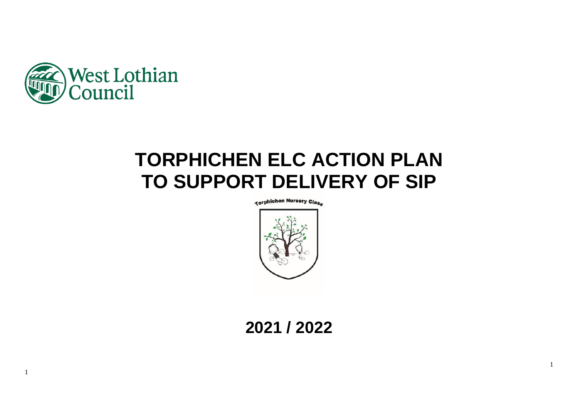

1

# **TORPHICHEN ELC ACTION PLAN TO SUPPORT DELIVERY OF SIP**

**Korphichen Nursery Class** 



**2021 / 2022**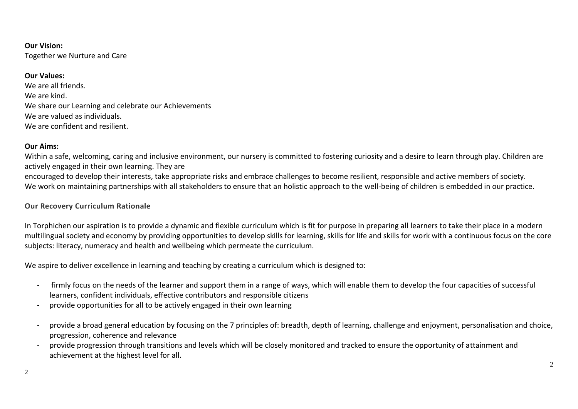## **Our Vision:** Together we Nurture and Care

## **Our Values:**

We are all friends. We are kind. We share our Learning and celebrate our Achievements We are valued as individuals. We are confident and resilient.

#### **Our Aims:**

Within a safe, welcoming, caring and inclusive environment, our nursery is committed to fostering curiosity and a desire to learn through play. Children are actively engaged in their own learning. They are

encouraged to develop their interests, take appropriate risks and embrace challenges to become resilient, responsible and active members of society. We work on maintaining partnerships with all stakeholders to ensure that an holistic approach to the well-being of children is embedded in our practice.

#### **Our Recovery Curriculum Rationale**

In Torphichen our aspiration is to provide a dynamic and flexible curriculum which is fit for purpose in preparing all learners to take their place in a modern multilingual society and economy by providing opportunities to develop skills for learning, skills for life and skills for work with a continuous focus on the core subjects: literacy, numeracy and health and wellbeing which permeate the curriculum.

We aspire to deliver excellence in learning and teaching by creating a curriculum which is designed to:

- firmly focus on the needs of the learner and support them in a range of ways, which will enable them to develop the four capacities of successful learners, confident individuals, effective contributors and responsible citizens
- provide opportunities for all to be actively engaged in their own learning
- provide a broad general education by focusing on the 7 principles of: breadth, depth of learning, challenge and enjoyment, personalisation and choice, progression, coherence and relevance
- provide progression through transitions and levels which will be closely monitored and tracked to ensure the opportunity of attainment and achievement at the highest level for all.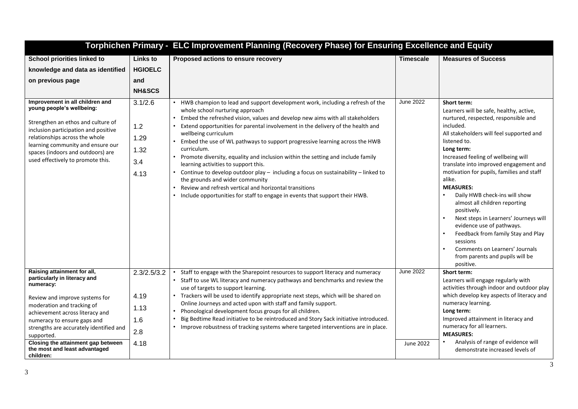|                                                                                                                                                                                                                                                                                             |                                                               | Torphichen Primary - ELC Improvement Planning (Recovery Phase) for Ensuring Excellence and Equity                                                                                                                                                                                                                                                                                                                                                                                                                                                                                                                                                                                                                                                                                                             |                  |                                                                                                                                                                                                                                                                                                                                                                                                                                                                                                                                                                                                                                              |  |
|---------------------------------------------------------------------------------------------------------------------------------------------------------------------------------------------------------------------------------------------------------------------------------------------|---------------------------------------------------------------|---------------------------------------------------------------------------------------------------------------------------------------------------------------------------------------------------------------------------------------------------------------------------------------------------------------------------------------------------------------------------------------------------------------------------------------------------------------------------------------------------------------------------------------------------------------------------------------------------------------------------------------------------------------------------------------------------------------------------------------------------------------------------------------------------------------|------------------|----------------------------------------------------------------------------------------------------------------------------------------------------------------------------------------------------------------------------------------------------------------------------------------------------------------------------------------------------------------------------------------------------------------------------------------------------------------------------------------------------------------------------------------------------------------------------------------------------------------------------------------------|--|
| <b>School priorities linked to</b><br>knowledge and data as identified<br>on previous page                                                                                                                                                                                                  | <b>Links to</b><br><b>HGIOELC</b><br>and<br><b>NH&amp;SCS</b> | Proposed actions to ensure recovery                                                                                                                                                                                                                                                                                                                                                                                                                                                                                                                                                                                                                                                                                                                                                                           | <b>Timescale</b> | <b>Measures of Success</b>                                                                                                                                                                                                                                                                                                                                                                                                                                                                                                                                                                                                                   |  |
| Improvement in all children and<br>young people's wellbeing:<br>Strengthen an ethos and culture of<br>inclusion participation and positive<br>relationships across the whole<br>learning community and ensure our<br>spaces (indoors and outdoors) are<br>used effectively to promote this. | 3.1/2.6<br>1.2<br>1.29<br>1.32<br>3.4<br>4.13                 | HWB champion to lead and support development work, including a refresh of the<br>whole school nurturing approach<br>Embed the refreshed vision, values and develop new aims with all stakeholders<br>Extend opportunities for parental involvement in the delivery of the health and<br>wellbeing curriculum<br>Embed the use of WL pathways to support progressive learning across the HWB<br>curriculum.<br>• Promote diversity, equality and inclusion within the setting and include family<br>learning activities to support this.<br>• Continue to develop outdoor play - including a focus on sustainability - linked to<br>the grounds and wider community<br>Review and refresh vertical and horizontal transitions<br>• Include opportunities for staff to engage in events that support their HWB. | <b>June 2022</b> | Short term:<br>Learners will be safe, healthy, active,<br>nurtured, respected, responsible and<br>included.<br>All stakeholders will feel supported and<br>listened to.<br>Long term:<br>Increased feeling of wellbeing will<br>translate into improved engagement and<br>motivation for pupils, families and staff<br>alike.<br><b>MEASURES:</b><br>Daily HWB check-ins will show<br>almost all children reporting<br>positively.<br>Next steps in Learners' Journeys will<br>evidence use of pathways.<br>Feedback from family Stay and Play<br>sessions<br>Comments on Learners' Journals<br>from parents and pupils will be<br>positive. |  |
| Raising attainment for all,<br>particularly in literacy and<br>numeracy:<br>Review and improve systems for<br>moderation and tracking of<br>achievement across literacy and<br>numeracy to ensure gaps and<br>strengths are accurately identified and<br>supported.                         | 2.3/2.5/3.2<br>4.19<br>1.13<br>1.6<br>2.8                     | Staff to engage with the Sharepoint resources to support literacy and numeracy<br>Staff to use WL literacy and numeracy pathways and benchmarks and review the<br>use of targets to support learning.<br>• Trackers will be used to identify appropriate next steps, which will be shared on<br>Online Journeys and acted upon with staff and family support.<br>Phonological development focus groups for all children.<br>$\bullet$<br>Big Bedtime Read initiative to be reintroduced and Story Sack initiative introduced.<br>• Improve robustness of tracking systems where targeted interventions are in place.                                                                                                                                                                                          | <b>June 2022</b> | Short term:<br>Learners will engage regularly with<br>activities through indoor and outdoor play<br>which develop key aspects of literacy and<br>numeracy learning.<br>Long term:<br>Improved attainment in literacy and<br>numeracy for all learners.<br><b>MEASURES:</b>                                                                                                                                                                                                                                                                                                                                                                   |  |
| Closing the attainment gap between<br>the most and least advantaged<br>children:                                                                                                                                                                                                            | 4.18                                                          |                                                                                                                                                                                                                                                                                                                                                                                                                                                                                                                                                                                                                                                                                                                                                                                                               | June 2022        | Analysis of range of evidence will<br>demonstrate increased levels of                                                                                                                                                                                                                                                                                                                                                                                                                                                                                                                                                                        |  |